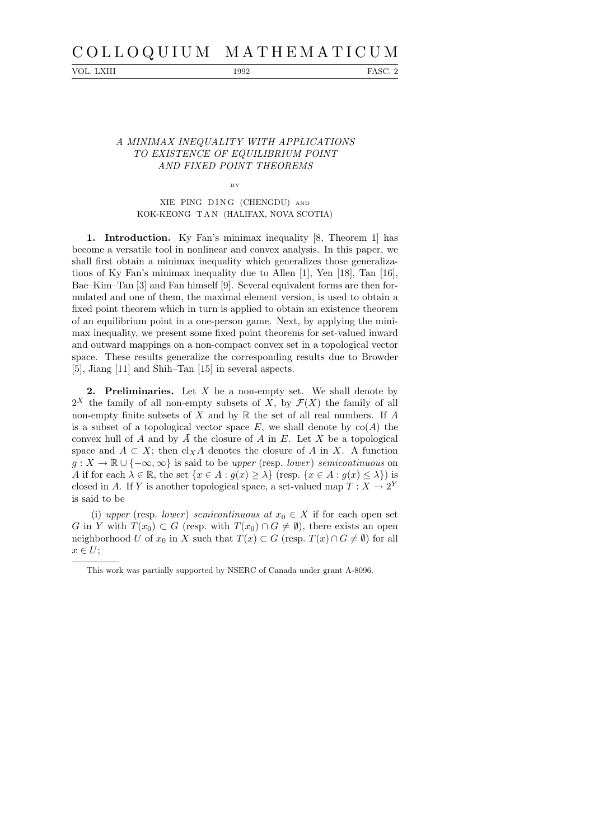## C O L L O Q U I U M M A T H E M A T I C U M

VOL. LXIII 1992 FASC. 2

## A MINIMAX INEQUALITY WITH APPLICATIONS TO EXISTENCE OF EQUILIBRIUM POINT AND FIXED POINT THEOREMS

BY

## XIE PING DING (CHENGDU) AND KOK-KEONG T A N (HALIFAX, NOVA SCOTIA)

1. Introduction. Ky Fan's minimax inequality [8, Theorem 1] has become a versatile tool in nonlinear and convex analysis. In this paper, we shall first obtain a minimax inequality which generalizes those generalizations of Ky Fan's minimax inequality due to Allen [1], Yen [18], Tan [16], Bae–Kim–Tan [3] and Fan himself [9]. Several equivalent forms are then formulated and one of them, the maximal element version, is used to obtain a fixed point theorem which in turn is applied to obtain an existence theorem of an equilibrium point in a one-person game. Next, by applying the minimax inequality, we present some fixed point theorems for set-valued inward and outward mappings on a non-compact convex set in a topological vector space. These results generalize the corresponding results due to Browder [5], Jiang [11] and Shih–Tan [15] in several aspects.

**2. Preliminaries.** Let  $X$  be a non-empty set. We shall denote by  $2^X$  the family of all non-empty subsets of X, by  $\mathcal{F}(X)$  the family of all non-empty finite subsets of  $X$  and by  $\mathbb R$  the set of all real numbers. If  $A$ is a subset of a topological vector space  $E$ , we shall denote by  $co(A)$  the convex hull of A and by A the closure of A in E. Let X be a topological space and  $A \subset X$ ; then cl<sub>X</sub>A denotes the closure of A in X. A function  $g: X \to \mathbb{R} \cup \{-\infty, \infty\}$  is said to be upper (resp. lower) semicontinuous on A if for each  $\lambda \in \mathbb{R}$ , the set  $\{x \in A : g(x) \geq \lambda\}$  (resp.  $\{x \in A : g(x) \leq \lambda\}$ ) is closed in A. If Y is another topological space, a set-valued map  $T: X \to 2^Y$ is said to be

(i) upper (resp. lower) semicontinuous at  $x_0 \in X$  if for each open set G in Y with  $T(x_0) \subset G$  (resp. with  $T(x_0) \cap G \neq \emptyset$ ), there exists an open neighborhood U of  $x_0$  in X such that  $T(x) \subset G$  (resp.  $T(x) \cap G \neq \emptyset$ ) for all  $x \in U;$ 

This work was partially supported by NSERC of Canada under grant A-8096.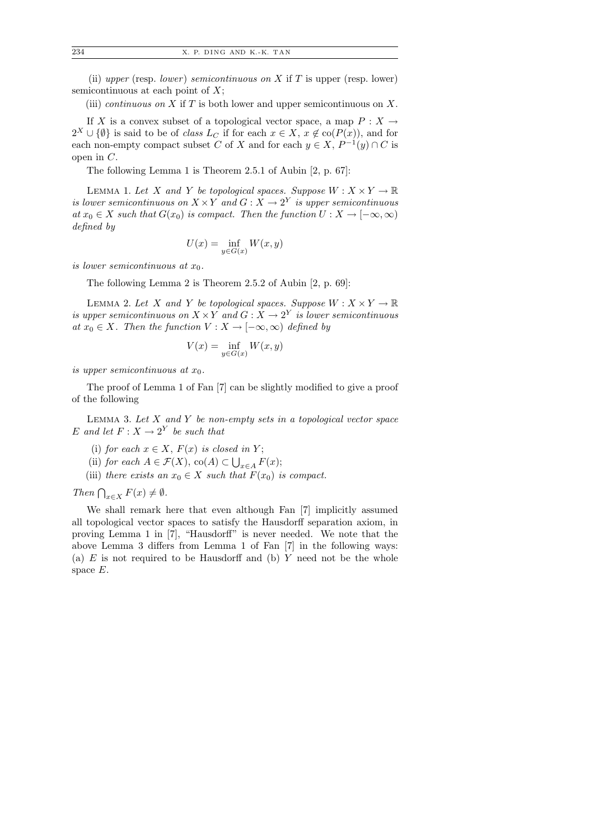(ii) upper (resp. lower) semicontinuous on X if T is upper (resp. lower) semicontinuous at each point of  $X$ ;

(iii) *continuous on* X if T is both lower and upper semicontinuous on X.

If X is a convex subset of a topological vector space, a map  $P: X \to$  $2^X \cup {\emptyset}$  is said to be of *class*  $L_C$  if for each  $x \in X$ ,  $x \notin co(P(x))$ , and for each non-empty compact subset C of X and for each  $y \in X$ ,  $P^{-1}(y) \cap C$  is open in C.

The following Lemma 1 is Theorem 2.5.1 of Aubin [2, p. 67]:

LEMMA 1. Let X and Y be topological spaces. Suppose  $W: X \times Y \to \mathbb{R}$ is lower semicontinuous on  $X \times Y$  and  $G: X \to 2^Y$  is upper semicontinuous at  $x_0 \in X$  such that  $G(x_0)$  is compact. Then the function  $U : X \to [-\infty, \infty)$ defined by

$$
U(x) = \inf_{y \in G(x)} W(x, y)
$$

is lower semicontinuous at  $x_0$ .

The following Lemma 2 is Theorem 2.5.2 of Aubin [2, p. 69]:

LEMMA 2. Let X and Y be topological spaces. Suppose  $W: X \times Y \to \mathbb{R}$ is upper semicontinuous on  $X \times Y$  and  $G: X \rightarrow 2^Y$  is lower semicontinuous at  $x_0 \in X$ . Then the function  $V : X \to [-\infty, \infty)$  defined by

$$
V(x) = \inf_{y \in G(x)} W(x, y)
$$

is upper semicontinuous at  $x_0$ .

The proof of Lemma 1 of Fan [7] can be slightly modified to give a proof of the following

LEMMA 3. Let  $X$  and  $Y$  be non-empty sets in a topological vector space E and let  $F: X \to 2^Y$  be such that

- (i) for each  $x \in X$ ,  $F(x)$  is closed in Y;
- (ii) for each  $A \in \mathcal{F}(X)$ , co $(A) \subset \bigcup_{x \in A} F(x)$ ;
- (iii) there exists an  $x_0 \in X$  such that  $F(x_0)$  is compact.

Then  $\bigcap_{x\in X} F(x) \neq \emptyset$ .

We shall remark here that even although Fan [7] implicitly assumed all topological vector spaces to satisfy the Hausdorff separation axiom, in proving Lemma 1 in [7], "Hausdorff" is never needed. We note that the above Lemma 3 differs from Lemma 1 of Fan [7] in the following ways: (a)  $E$  is not required to be Hausdorff and (b)  $Y$  need not be the whole space E.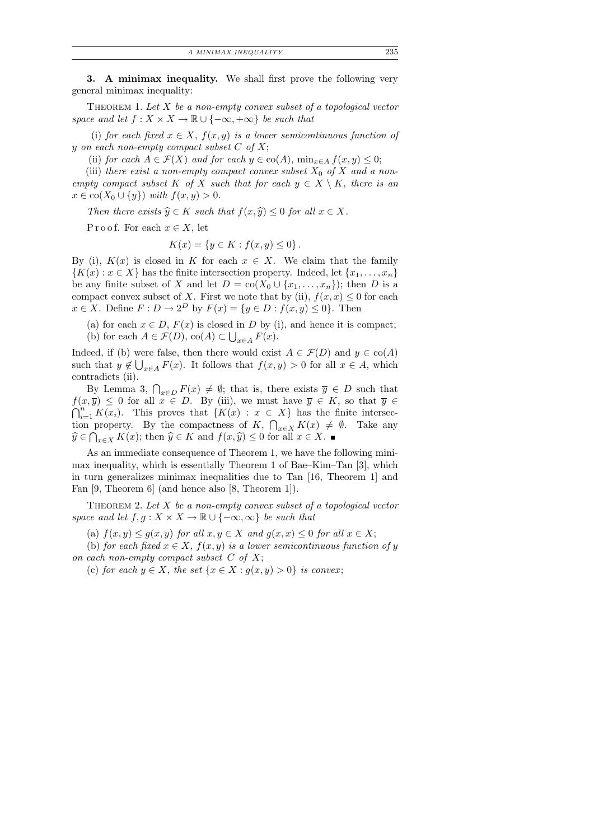3. A minimax inequality. We shall first prove the following very general minimax inequality:

THEOREM 1. Let  $X$  be a non-empty convex subset of a topological vector space and let  $f: X \times X \to \mathbb{R} \cup \{-\infty, +\infty\}$  be such that

(i) for each fixed  $x \in X$ ,  $f(x, y)$  is a lower semicontinuous function of y on each non-empty compact subset  $C$  of  $X$ ;

(ii) for each  $A \in \mathcal{F}(X)$  and for each  $y \in \text{co}(A)$ ,  $\min_{x \in A} f(x, y) \leq 0$ ;

(iii) there exist a non-empty compact convex subset  $X_0$  of X and a nonempty compact subset K of X such that for each  $y \in X \setminus K$ , there is an  $x \in \text{co}(X_0 \cup \{y\})$  with  $f(x, y) > 0$ .

Then there exists  $\widehat{y} \in K$  such that  $f(x, \widehat{y}) \leq 0$  for all  $x \in X$ .

P r o o f. For each  $x \in X$ , let

$$
K(x) = \{ y \in K : f(x, y) \le 0 \}.
$$

By (i),  $K(x)$  is closed in K for each  $x \in X$ . We claim that the family  ${K(x): x \in X}$  has the finite intersection property. Indeed, let  ${x_1, \ldots, x_n}$ be any finite subset of X and let  $D = \text{co}(X_0 \cup \{x_1, \ldots, x_n\})$ ; then D is a compact convex subset of X. First we note that by (ii),  $f(x, x) \leq 0$  for each  $x \in X$ . Define  $F: D \to 2^D$  by  $F(x) = \{y \in D : f(x, y) \le 0\}$ . Then

(a) for each  $x \in D$ ,  $F(x)$  is closed in D by (i), and hence it is compact; (b) for each  $A \in \mathcal{F}(D)$ ,  $co(A) \subset \bigcup_{x \in A} F(x)$ .

Indeed, if (b) were false, then there would exist  $A \in \mathcal{F}(D)$  and  $y \in \text{co}(A)$ such that  $y \notin \bigcup_{x \in A} F(x)$ . It follows that  $f(x, y) > 0$  for all  $x \in A$ , which contradicts (ii).

By Lemma 3,  $\bigcap_{x \in D} F(x) \neq \emptyset$ ; that is, there exists  $\overline{y} \in D$  such that  $f(x,\overline{y}) \leq 0$  for all  $x \in D$ . By (iii), we must have  $\overline{y} \in K$ , so that  $\overline{y} \in$  $\bigcap_{i=1}^n K(x_i)$ . This proves that  $\{K(x) : x \in X\}$  has the finite intersection property. By the compactness of K,  $\bigcap_{x\in X} K(x) \neq \emptyset$ . Take any  $\widehat{y} \in \bigcap_{x \in X} K(x)$ ; then  $\widehat{y} \in K$  and  $f(x, \widehat{y}) \leq 0$  for all  $x \in X$ .

As an immediate consequence of Theorem 1, we have the following minimax inequality, which is essentially Theorem 1 of Bae–Kim–Tan [3], which in turn generalizes minimax inequalities due to Tan [16, Theorem 1] and Fan [9, Theorem 6] (and hence also [8, Theorem 1]).

THEOREM 2. Let  $X$  be a non-empty convex subset of a topological vector space and let  $f, g: X \times X \to \mathbb{R} \cup \{-\infty, \infty\}$  be such that

(a)  $f(x, y) \le g(x, y)$  for all  $x, y \in X$  and  $g(x, x) \le 0$  for all  $x \in X$ ;

(b) for each fixed  $x \in X$ ,  $f(x, y)$  is a lower semicontinuous function of y on each non-empty compact subset  $C$  of  $X$ ;

(c) for each  $y \in X$ , the set  $\{x \in X : g(x, y) > 0\}$  is convex;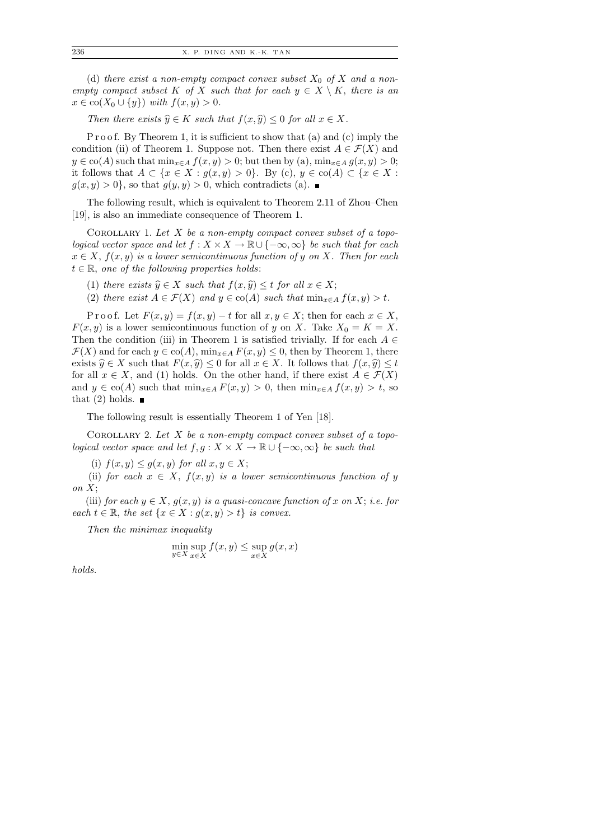(d) there exist a non-empty compact convex subset  $X_0$  of X and a nonempty compact subset K of X such that for each  $y \in X \setminus K$ , there is an  $x \in \text{co}(X_0 \cup \{y\})$  with  $f(x, y) > 0$ .

Then there exists  $\widehat{y} \in K$  such that  $f(x, \widehat{y}) \leq 0$  for all  $x \in X$ .

P r o o f. By Theorem 1, it is sufficient to show that (a) and (c) imply the condition (ii) of Theorem 1. Suppose not. Then there exist  $A \in \mathcal{F}(X)$  and  $y \in \text{co}(A)$  such that  $\min_{x \in A} f(x, y) > 0$ ; but then by (a),  $\min_{x \in A} g(x, y) > 0$ ; it follows that  $A \subset \{x \in X : g(x, y) > 0\}$ . By (c),  $y \in \text{co}(A) \subset \{x \in X : g(x, y) > 0\}$ .  $g(x, y) > 0$ , so that  $g(y, y) > 0$ , which contradicts (a).

The following result, which is equivalent to Theorem 2.11 of Zhou–Chen [19], is also an immediate consequence of Theorem 1.

COROLLARY 1. Let  $X$  be a non-empty compact convex subset of a topological vector space and let  $f : X \times X \to \mathbb{R} \cup \{-\infty, \infty\}$  be such that for each  $x \in X$ ,  $f(x, y)$  is a lower semicontinuous function of y on X. Then for each  $t \in \mathbb{R}$ , one of the following properties holds:

- (1) there exists  $\widehat{y} \in X$  such that  $f(x, \widehat{y}) \leq t$  for all  $x \in X$ ;
- (2) there exist  $A \in \mathcal{F}(X)$  and  $y \in \text{co}(A)$  such that  $\min_{x \in A} f(x, y) > t$ .

P r o o f. Let  $F(x, y) = f(x, y) - t$  for all  $x, y \in X$ ; then for each  $x \in X$ ,  $F(x, y)$  is a lower semicontinuous function of y on X. Take  $X_0 = K = X$ . Then the condition (iii) in Theorem 1 is satisfied trivially. If for each  $A \in$  $\mathcal{F}(X)$  and for each  $y \in \text{co}(A)$ ,  $\min_{x \in A} F(x, y) \leq 0$ , then by Theorem 1, there exists  $\widehat{y} \in X$  such that  $F(x, \widehat{y}) \leq 0$  for all  $x \in X$ . It follows that  $f(x, \widehat{y}) \leq t$ for all  $x \in X$ , and (1) holds. On the other hand, if there exist  $A \in \mathcal{F}(X)$ and  $y \in \text{co}(A)$  such that  $\min_{x \in A} F(x, y) > 0$ , then  $\min_{x \in A} f(x, y) > t$ , so that (2) holds.  $\blacksquare$ 

The following result is essentially Theorem 1 of Yen [18].

COROLLARY 2. Let  $X$  be a non-empty compact convex subset of a topological vector space and let  $f, g: X \times X \to \mathbb{R} \cup \{-\infty, \infty\}$  be such that

(i)  $f(x, y) \leq g(x, y)$  for all  $x, y \in X$ ;

(ii) for each  $x \in X$ ,  $f(x, y)$  is a lower semicontinuous function of y on  $X$ ;

(iii) for each  $y \in X$ ,  $g(x, y)$  is a quasi-concave function of x on X; i.e. for each  $t \in \mathbb{R}$ , the set  $\{x \in X : g(x, y) > t\}$  is convex.

Then the minimax inequality

$$
\min_{y \in X} \sup_{x \in X} f(x, y) \le \sup_{x \in X} g(x, x)
$$

holds.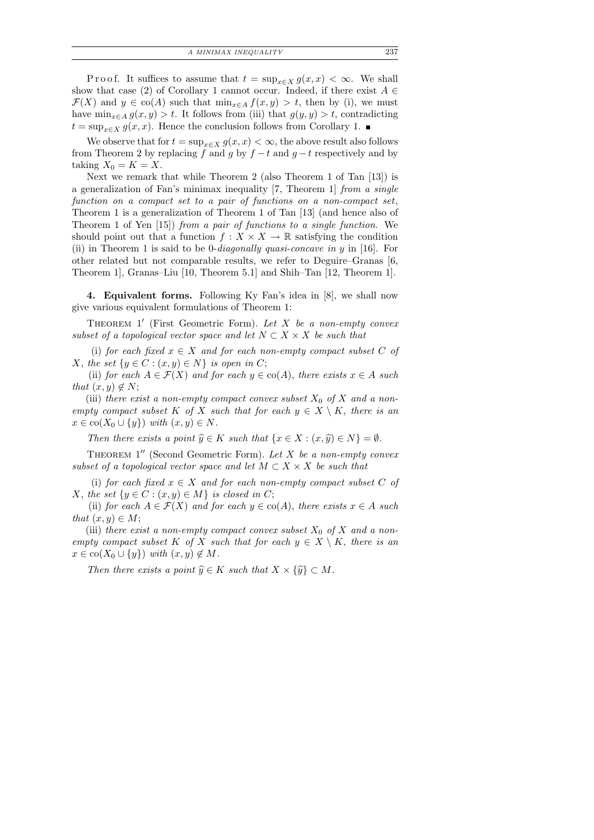P r o o f. It suffices to assume that  $t = \sup_{x \in X} g(x, x) < \infty$ . We shall show that case (2) of Corollary 1 cannot occur. Indeed, if there exist  $A \in$  $\mathcal{F}(X)$  and  $y \in \text{co}(A)$  such that  $\min_{x \in A} f(x, y) > t$ , then by (i), we must have  $\min_{x \in A} g(x, y) > t$ . It follows from (iii) that  $g(y, y) > t$ , contradicting  $t = \sup_{x \in X} g(x, x)$ . Hence the conclusion follows from Corollary 1. ■

We observe that for  $t = \sup_{x \in X} g(x, x) < \infty$ , the above result also follows from Theorem 2 by replacing f and g by  $f - t$  and  $g - t$  respectively and by taking  $X_0 = K = X$ .

Next we remark that while Theorem 2 (also Theorem 1 of Tan [13]) is a generalization of Fan's minimax inequality [7, Theorem 1] from a single function on a compact set to a pair of functions on a non-compact set, Theorem 1 is a generalization of Theorem 1 of Tan [13] (and hence also of Theorem 1 of Yen [15]) from a pair of functions to a single function. We should point out that a function  $f: X \times X \to \mathbb{R}$  satisfying the condition (ii) in Theorem 1 is said to be 0-*diagonally quasi-concave in y* in [16]. For other related but not comparable results, we refer to Deguire–Granas [6, Theorem 1], Granas–Liu [10, Theorem 5.1] and Shih–Tan [12, Theorem 1].

4. Equivalent forms. Following Ky Fan's idea in [8], we shall now give various equivalent formulations of Theorem 1:

THEOREM  $1'$  (First Geometric Form). Let X be a non-empty convex subset of a topological vector space and let  $N \subset X \times X$  be such that

(i) for each fixed  $x \in X$  and for each non-empty compact subset C of X, the set  $\{y \in C : (x, y) \in N\}$  is open in C;

(ii) for each  $A \in \mathcal{F}(X)$  and for each  $y \in \text{co}(A)$ , there exists  $x \in A$  such that  $(x, y) \notin N$ ;

(iii) there exist a non-empty compact convex subset  $X_0$  of X and a nonempty compact subset K of X such that for each  $y \in X \setminus K$ , there is an  $x \in \text{co}(X_0 \cup \{y\})$  with  $(x, y) \in N$ .

Then there exists a point  $\widehat{y} \in K$  such that  $\{x \in X : (x, \widehat{y}) \in N\} = \emptyset$ .

THEOREM  $1''$  (Second Geometric Form). Let X be a non-empty convex subset of a topological vector space and let  $M \subset X \times X$  be such that

(i) for each fixed  $x \in X$  and for each non-empty compact subset C of X, the set  $\{y \in C : (x, y) \in M\}$  is closed in C;

(ii) for each  $A \in \mathcal{F}(X)$  and for each  $y \in \text{co}(A)$ , there exists  $x \in A$  such that  $(x, y) \in M$ ;

(iii) there exist a non-empty compact convex subset  $X_0$  of X and a nonempty compact subset K of X such that for each  $y \in X \setminus K$ , there is an  $x \in \text{co}(X_0 \cup \{y\})$  with  $(x, y) \notin M$ .

Then there exists a point  $\widehat{y} \in K$  such that  $X \times {\widehat{y}} \subset M$ .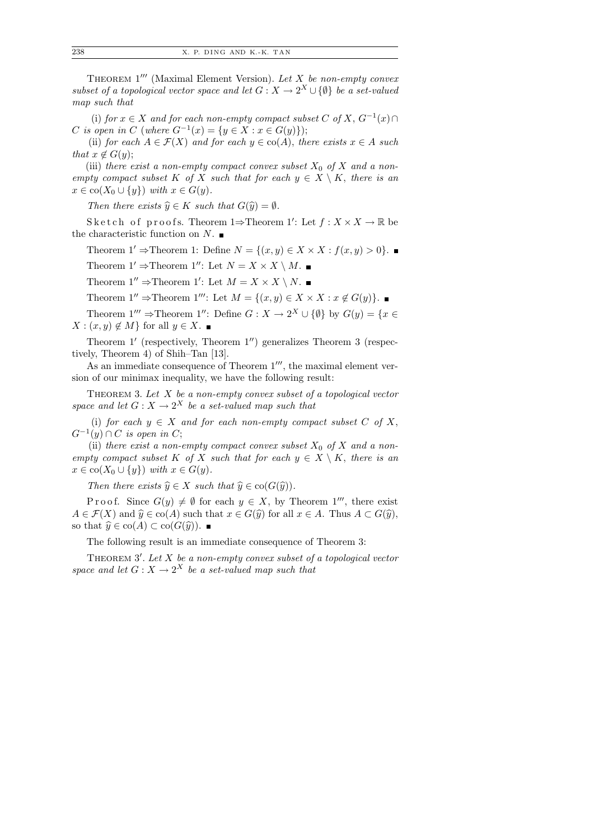THEOREM  $1'''$  (Maximal Element Version). Let  $X$  be non-empty convex subset of a topological vector space and let  $G: X \to 2^X \cup \{\emptyset\}$  be a set-valued map such that

(i) for  $x \in X$  and for each non-empty compact subset C of X,  $G^{-1}(x) \cap$ C is open in C (where  $G^{-1}(x) = \{y \in X : x \in G(y)\}\)$ ;

(ii) for each  $A \in \mathcal{F}(X)$  and for each  $y \in \text{co}(A)$ , there exists  $x \in A$  such that  $x \notin G(y)$ ;

(iii) there exist a non-empty compact convex subset  $X_0$  of X and a nonempty compact subset K of X such that for each  $y \in X \setminus K$ , there is an  $x \in \text{co}(X_0 \cup \{y\})$  with  $x \in G(y)$ .

Then there exists  $\widehat{y} \in K$  such that  $G(\widehat{y}) = \emptyset$ .

Sketch of proofs. Theorem 1 $\Rightarrow$ Theorem 1': Let  $f: X \times X \to \mathbb{R}$  be the characteristic function on  $N$ .

Theorem 1' ⇒Theorem 1: Define  $N = \{(x, y) \in X \times X : f(x, y) > 0\}$ .

Theorem  $1' \Rightarrow$ Theorem  $1''$ : Let  $N = X \times X \setminus M$ .

Theorem  $1'' \Rightarrow$ Theorem 1': Let  $M = X \times X \setminus N$ .

Theorem 1''  $\Rightarrow$  Theorem 1''': Let  $M = \{(x, y) \in X \times X : x \notin G(y)\}\.$ 

Theorem  $1''' \Rightarrow$ Theorem  $1''$ : Define  $G : X \to 2^X \cup {\emptyset}$  by  $G(y) = \{x \in$  $X: (x, y) \notin M$  for all  $y \in X$ .

Theorem  $1'$  (respectively, Theorem  $1'$ ) generalizes Theorem 3 (respectively, Theorem 4) of Shih–Tan [13].

As an immediate consequence of Theorem  $1^{\prime\prime\prime}$ , the maximal element version of our minimax inequality, we have the following result:

THEOREM 3. Let  $X$  be a non-empty convex subset of a topological vector space and let  $G: X \to 2^X$  be a set-valued map such that

(i) for each  $y \in X$  and for each non-empty compact subset C of X,  $G^{-1}(y) \cap C$  is open in C;

(ii) there exist a non-empty compact convex subset  $X_0$  of X and a nonempty compact subset K of X such that for each  $y \in X \setminus K$ , there is an  $x \in \text{co}(X_0 \cup \{y\})$  with  $x \in G(y)$ .

Then there exists  $\widehat{y} \in X$  such that  $\widehat{y} \in \text{co}(G(\widehat{y}))$ .

P r o o f. Since  $G(y) \neq \emptyset$  for each  $y \in X$ , by Theorem 1<sup>00</sup>, there exist  $A \in \mathcal{F}(X)$  and  $\widehat{y} \in \text{co}(A)$  such that  $x \in G(\widehat{y})$  for all  $x \in A$ . Thus  $A \subset G(\widehat{y})$ , so that  $\widehat{y} \in \text{co}(A) \subset \text{co}(G(\widehat{y}))$ .

The following result is an immediate consequence of Theorem 3:

THEOREM  $3'$ . Let  $X$  be a non-empty convex subset of a topological vector space and let  $G: X \to 2^X$  be a set-valued map such that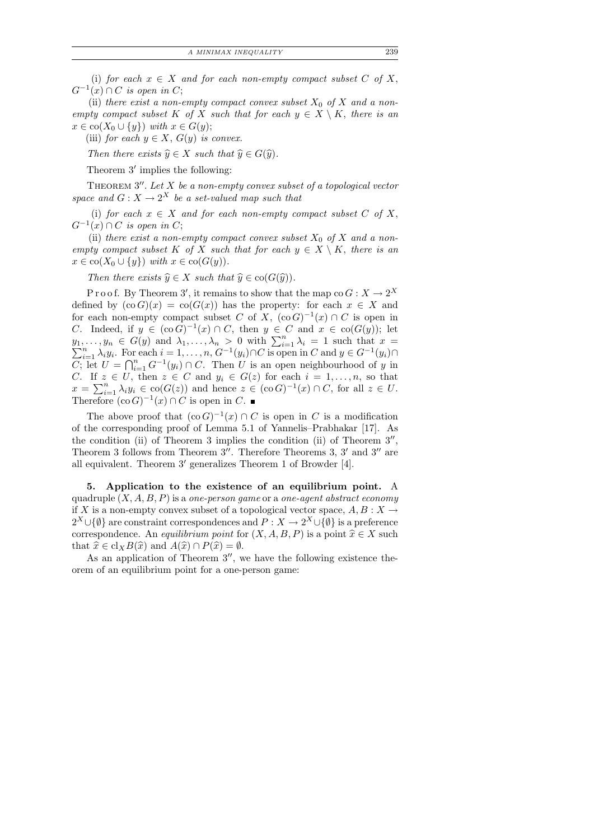A MINIMAX INEQUALITY 239

(i) for each  $x \in X$  and for each non-empty compact subset C of X,  $G^{-1}(x) \cap C$  is open in C;

(ii) there exist a non-empty compact convex subset  $X_0$  of X and a nonempty compact subset K of X such that for each  $y \in X \setminus K$ , there is an  $x \in \text{co}(X_0 \cup \{y\})$  with  $x \in G(y)$ ;

(iii) for each  $y \in X$ ,  $G(y)$  is convex.

Then there exists  $\widehat{y} \in X$  such that  $\widehat{y} \in G(\widehat{y})$ .

Theorem  $3'$  implies the following:

THEOREM  $3''$ . Let X be a non-empty convex subset of a topological vector space and  $G: X \to 2^X$  be a set-valued map such that

(i) for each  $x \in X$  and for each non-empty compact subset C of X,  $G^{-1}(x) \cap C$  is open in C;

(ii) there exist a non-empty compact convex subset  $X_0$  of X and a nonempty compact subset K of X such that for each  $y \in X \setminus K$ , there is an  $x \in \text{co}(X_0 \cup \{y\})$  with  $x \in \text{co}(G(y)).$ 

Then there exists  $\hat{y} \in X$  such that  $\hat{y} \in \text{co}(G(\hat{y}))$ .

P r o o f. By Theorem 3', it remains to show that the map co  $G: X \to 2^X$ defined by  $(\text{co } G)(x) = \text{co}(G(x))$  has the property: for each  $x \in X$  and for each non-empty compact subset C of X,  $(\text{co } G)^{-1}(x) \cap C$  is open in C. Indeed, if  $y \in (\text{co } G)^{-1}(x) \cap C$ , then  $y \in C$  and  $x \in \text{co}(G(y))$ ; let  $y_1, \ldots, y_n \in G(y) \text{ and } \lambda_1, \ldots, \lambda_n > 0 \text{ with } \sum_{i=1}^n \lambda_i y_i.$  For each  $i = 1, \ldots, n, G^{-1}(y_i) \cap C$  is open  $\lambda_1, \ldots, \lambda_n > 0$  with  $\sum_{i=1}^n \lambda_i = 1$  such that  $x = \sum_{i=1}^n \lambda_i y_i$ . For each  $i = 1, \ldots, n$ ,  $G^{-1}(y_i) \cap C$  is open in  $C$  and  $y \in G^{-1}(y_i) \cap C$  $\overline{C}$ ; let  $\overline{U} = \bigcap_{i=1}^n G^{-1}(y_i) \cap C$ . Then U is an open neighbourhood of y in C. If  $z \in U$ , then  $z \in C$  and  $y_i \in G(z)$  for each  $i = 1, \ldots, n$ , so that  $x = \sum_{i=1}^n \lambda_i y_i \in \text{co}(G(z))$  and hence  $z \in (\text{co } G)^{-1}(x) \cap C$ , for all  $z \in U$ . Therefore  $(\text{co } G)^{-1}(x) \cap C$  is open in C.

The above proof that  $(\text{co } G)^{-1}(x) \cap C$  is open in C is a modification of the corresponding proof of Lemma 5.1 of Yannelis–Prabhakar [17]. As the condition (ii) of Theorem 3 implies the condition (ii) of Theorem  $3''$ , Theorem 3 follows from Theorem  $3''$ . Therefore Theorems 3,  $3'$  and  $3''$  are all equivalent. Theorem 3' generalizes Theorem 1 of Browder [4].

5. Application to the existence of an equilibrium point. A quadruple  $(X, A, B, P)$  is a one-person game or a one-agent abstract economy if X is a non-empty convex subset of a topological vector space,  $A, B: X \rightarrow$  $2^X \cup \{\emptyset\}$  are constraint correspondences and  $P: X \to 2^X \cup \{\emptyset\}$  is a preference correspondence. An *equilibrium point* for  $(X, A, B, P)$  is a point  $\hat{x} \in X$  such that  $\hat{x} \in \text{cl}_X B(\hat{x})$  and  $A(\hat{x}) \cap P(\hat{x}) = \emptyset$ .

As an application of Theorem  $3''$ , we have the following existence theorem of an equilibrium point for a one-person game: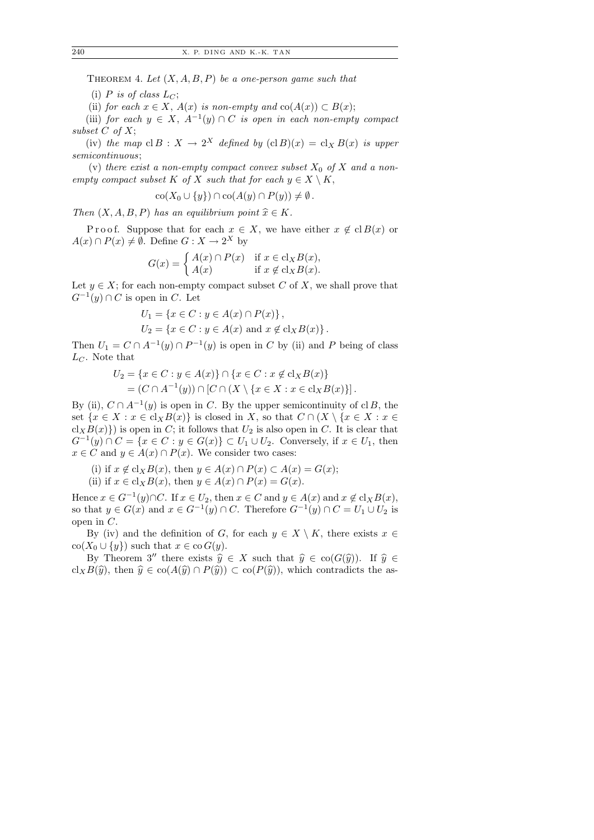THEOREM 4. Let  $(X, A, B, P)$  be a one-person game such that

(i) P is of class  $L_C$ ;

(ii) for each  $x \in X$ ,  $A(x)$  is non-empty and  $co(A(x)) \subset B(x)$ ;

(iii) for each  $y \in X$ ,  $A^{-1}(y) \cap C$  is open in each non-empty compact subset  $C$  of  $X$ ;

(iv) the map  $cl B : X \to 2^X$  defined by  $(cl B)(x) = cl_X B(x)$  is upper semicontinuous;

(v) there exist a non-empty compact convex subset  $X_0$  of X and a nonempty compact subset K of X such that for each  $y \in X \setminus K$ ,

$$
co(X_0 \cup \{y\}) \cap co(A(y) \cap P(y)) \neq \emptyset.
$$

Then  $(X, A, B, P)$  has an equilibrium point  $\hat{x} \in K$ .

P r o o f. Suppose that for each  $x \in X$ , we have either  $x \notin \text{cl } B(x)$  or  $A(x) \cap P(x) \neq \emptyset$ . Define  $G: X \to 2^X$  by

$$
G(x) = \begin{cases} A(x) \cap P(x) & \text{if } x \in \text{cl}_X B(x), \\ A(x) & \text{if } x \notin \text{cl}_X B(x). \end{cases}
$$

Let  $y \in X$ ; for each non-empty compact subset C of X, we shall prove that  $G^{-1}(y) \cap C$  is open in C. Let

$$
U_1 = \{ x \in C : y \in A(x) \cap P(x) \},
$$
  
\n
$$
U_2 = \{ x \in C : y \in A(x) \text{ and } x \notin \text{cl}_X B(x) \}.
$$

Then  $U_1 = C \cap A^{-1}(y) \cap P^{-1}(y)$  is open in C by (ii) and P being of class  $L_C$ . Note that

$$
U_2 = \{x \in C : y \in A(x)\} \cap \{x \in C : x \notin cl_X B(x)\}
$$
  
=  $(C \cap A^{-1}(y)) \cap [C \cap (X \setminus \{x \in X : x \in cl_X B(x)\}].$ 

By (ii),  $C \cap A^{-1}(y)$  is open in C. By the upper semicontinuity of cl B, the set  $\{x \in X : x \in \text{cl}_X B(x)\}\$ is closed in X, so that  $C \cap (X \setminus \{x \in X : x \in \text{cl}_X B(x)\})$  $cl_XB(x)$ ) is open in C; it follows that  $U_2$  is also open in C. It is clear that  $G^{-1}(y) \cap C = \{x \in C : y \in G(x)\} \subset U_1 \cup U_2$ . Conversely, if  $x \in U_1$ , then  $x \in C$  and  $y \in A(x) \cap P(x)$ . We consider two cases:

- (i) if  $x \notin cl_X B(x)$ , then  $y \in A(x) \cap P(x) \subset A(x) = G(x)$ ;
- (ii) if  $x \in \text{cl}_X B(x)$ , then  $y \in A(x) \cap P(x) = G(x)$ .

Hence  $x \in G^{-1}(y) \cap C$ . If  $x \in U_2$ , then  $x \in C$  and  $y \in A(x)$  and  $x \notin cl_X B(x)$ , so that  $y \in G(x)$  and  $x \in G^{-1}(y) \cap C$ . Therefore  $G^{-1}(y) \cap C = U_1 \cup U_2$  is open in C.

By (iv) and the definition of G, for each  $y \in X \setminus K$ , there exists  $x \in$  $\text{co}(X_0 \cup \{y\})$  such that  $x \in \text{co } G(y)$ .

By Theorem 3<sup>''</sup> there exists  $\hat{y} \in X$  such that  $\hat{y} \in \text{co}(G(\hat{y}))$ . If  $\hat{y} \in$ cl<sub>X</sub>B( $\hat{y}$ ), then  $\hat{y} \in \text{co}(A(\hat{y}) \cap P(\hat{y})) \subset \text{co}(P(\hat{y}))$ , which contradicts the as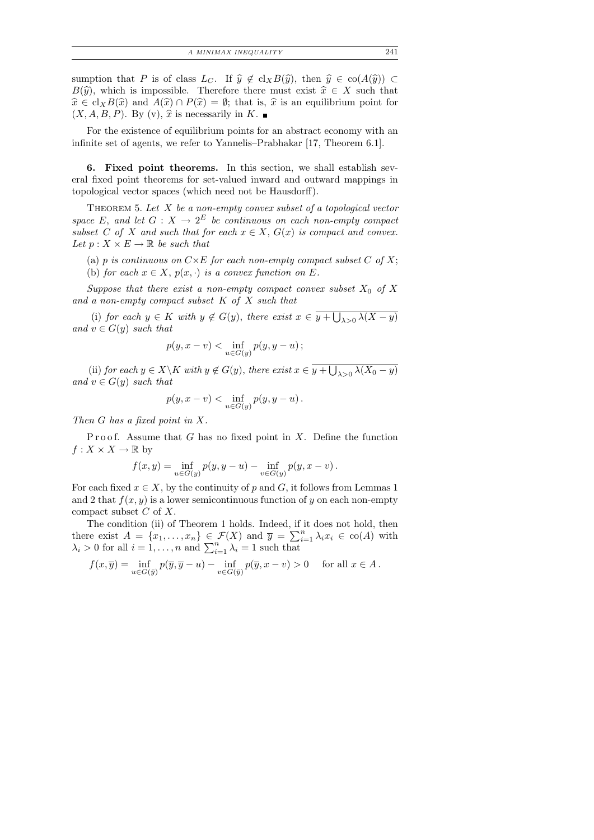sumption that P is of class  $L_C$ . If  $\hat{y} \notin \text{cl}_XB(\hat{y})$ , then  $\hat{y} \in \text{co}(A(\hat{y})) \subset$  $B(\hat{y})$ , which is impossible. Therefore there must exist  $\hat{x} \in X$  such that  $\hat{x} \in \text{cl}_X B(\hat{x})$  and  $A(\hat{x}) \cap P(\hat{x}) = \emptyset$ ; that is,  $\hat{x}$  is an equilibrium point for  $(X, A, B, P)$ . By (v),  $\hat{x}$  is necessarily in K.

For the existence of equilibrium points for an abstract economy with an infinite set of agents, we refer to Yannelis–Prabhakar [17, Theorem 6.1].

6. Fixed point theorems. In this section, we shall establish several fixed point theorems for set-valued inward and outward mappings in topological vector spaces (which need not be Hausdorff).

THEOREM 5. Let  $X$  be a non-empty convex subset of a topological vector space E, and let  $G: X \to 2^E$  be continuous on each non-empty compact subset C of X and such that for each  $x \in X$ ,  $G(x)$  is compact and convex. Let  $p: X \times E \to \mathbb{R}$  be such that

- (a) p is continuous on  $C \times E$  for each non-empty compact subset C of X;
- (b) for each  $x \in X$ ,  $p(x, \cdot)$  is a convex function on E.

Suppose that there exist a non-empty compact convex subset  $X_0$  of X and a non-empty compact subset K of X such that

(i) for each  $y \in K$  with  $y \notin G(y)$ , there exist  $x \in y + \bigcup_{\lambda > 0} \lambda(X - y)$ and  $v \in G(y)$  such that

$$
p(y, x - v) < \inf_{u \in G(y)} p(y, y - u) \, ;
$$

(ii) for each  $y \in X \backslash K$  with  $y \notin G(y)$ , there exist  $x \in y + \bigcup_{\lambda > 0} \lambda(X_0 - y)$ and  $v \in G(y)$  such that

$$
p(y, x - v) < \inf_{u \in G(y)} p(y, y - u) \, .
$$

Then G has a fixed point in X.

Proof. Assume that  $G$  has no fixed point in  $X$ . Define the function  $f: X \times X \to \mathbb{R}$  by

$$
f(x,y) = \inf_{u \in G(y)} p(y, y - u) - \inf_{v \in G(y)} p(y, x - v).
$$

For each fixed  $x \in X$ , by the continuity of p and G, it follows from Lemmas 1 and 2 that  $f(x, y)$  is a lower semicontinuous function of y on each non-empty compact subset  $C$  of  $X$ .

The condition (ii) of Theorem 1 holds. Indeed, if it does not hold, then there exist  $A = \{x_1, \ldots, x_n\} \in \mathcal{F}(X)$  and  $\overline{y} = \sum_{i=1}^n \lambda_i x_i \in \text{co}(A)$  with  $\lambda_i > 0$  for all  $i = 1, \ldots, n$  and  $\sum_{i=1}^n \lambda_i = 1$  such that

$$
f(x,\overline{y})=\inf_{u\in G(\overline{y})}p(\overline{y},\overline{y}-u)-\inf_{v\in G(\overline{y})}p(\overline{y},x-v)>0\quad \text{ for all }x\in A\,.
$$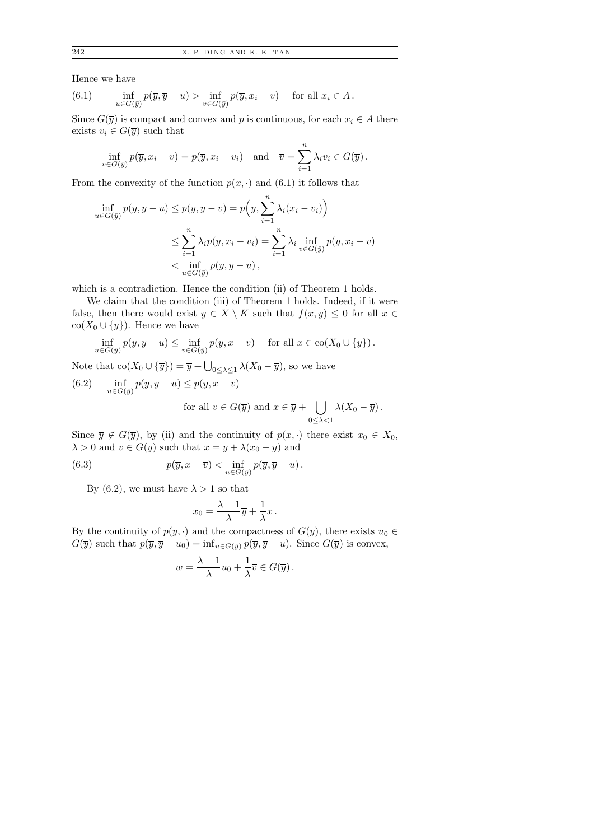Hence we have

(6.1) 
$$
\inf_{u \in G(\bar{y})} p(\bar{y}, \bar{y} - u) > \inf_{v \in G(\bar{y})} p(\bar{y}, x_i - v) \quad \text{for all } x_i \in A.
$$

Since  $G(\overline{y})$  is compact and convex and p is continuous, for each  $x_i \in A$  there exists  $v_i \in G(\overline{y})$  such that

$$
\inf_{v \in G(\bar{y})} p(\overline{y}, x_i - v) = p(\overline{y}, x_i - v_i) \text{ and } \overline{v} = \sum_{i=1}^n \lambda_i v_i \in G(\overline{y}).
$$

From the convexity of the function  $p(x, \cdot)$  and (6.1) it follows that

$$
\inf_{u \in G(\bar{y})} p(\bar{y}, \bar{y} - u) \le p(\bar{y}, \bar{y} - \bar{v}) = p(\bar{y}, \sum_{i=1}^{n} \lambda_i (x_i - v_i))
$$
\n
$$
\le \sum_{i=1}^{n} \lambda_i p(\bar{y}, x_i - v_i) = \sum_{i=1}^{n} \lambda_i \inf_{v \in G(\bar{y})} p(\bar{y}, x_i - v)
$$
\n
$$
< \inf_{u \in G(\bar{y})} p(\bar{y}, \bar{y} - u),
$$

which is a contradiction. Hence the condition (ii) of Theorem 1 holds.

We claim that the condition (iii) of Theorem 1 holds. Indeed, if it were false, then there would exist  $\overline{y} \in X \setminus K$  such that  $f(x, \overline{y}) \leq 0$  for all  $x \in$  $\operatorname{co}(X_0 \cup \{\overline{y}\})$ . Hence we have

$$
\inf_{u \in G(\bar{y})} p(\overline{y}, \overline{y} - u) \le \inf_{v \in G(\bar{y})} p(\overline{y}, x - v) \quad \text{ for all } x \in \text{co}(X_0 \cup \{\overline{y}\}).
$$

Note that  $\text{co}(X_0 \cup {\overline{y}}) = \overline{y} + \bigcup_{0 \leq \lambda \leq 1} \lambda (X_0 - \overline{y})$ , so we have

(6.2) 
$$
\inf_{u \in G(\bar{y})} p(\bar{y}, \bar{y} - u) \le p(\bar{y}, x - v)
$$
  
for all  $v \in G(\bar{y})$  and  $x \in \bar{y} + \bigcup_{0 \le \lambda < 1} \lambda(X_0 - \bar{y}).$ 

Since  $\overline{y} \notin G(\overline{y})$ , by (ii) and the continuity of  $p(x, \cdot)$  there exist  $x_0 \in X_0$ ,  $\lambda > 0$  and  $\overline{v} \in G(\overline{y})$  such that  $x = \overline{y} + \lambda(x_0 - \overline{y})$  and

(6.3) 
$$
p(\overline{y}, x - \overline{v}) < \inf_{u \in G(\overline{y})} p(\overline{y}, \overline{y} - u).
$$

By (6.2), we must have  $\lambda > 1$  so that

$$
x_0 = \frac{\lambda - 1}{\lambda} \overline{y} + \frac{1}{\lambda} x \, .
$$

By the continuity of  $p(\bar{y}, \cdot)$  and the compactness of  $G(\bar{y})$ , there exists  $u_0 \in$  $G(\overline{y})$  such that  $p(\overline{y}, \overline{y} - u_0) = \inf_{u \in G(\overline{y})} p(\overline{y}, \overline{y} - u)$ . Since  $G(\overline{y})$  is convex,

$$
w = \frac{\lambda - 1}{\lambda}u_0 + \frac{1}{\lambda}\overline{v} \in G(\overline{y}).
$$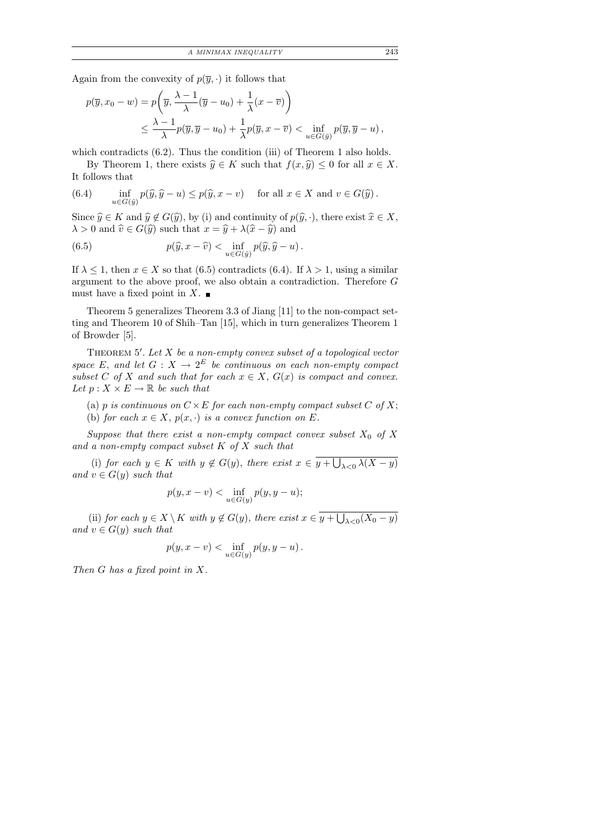Again from the convexity of  $p(\overline{y}, \cdot)$  it follows that

$$
p(\overline{y}, x_0 - w) = p\left(\overline{y}, \frac{\lambda - 1}{\lambda}(\overline{y} - u_0) + \frac{1}{\lambda}(x - \overline{v})\right)
$$
  

$$
\leq \frac{\lambda - 1}{\lambda}p(\overline{y}, \overline{y} - u_0) + \frac{1}{\lambda}p(\overline{y}, x - \overline{v}) < \inf_{u \in G(\overline{y})}p(\overline{y}, \overline{y} - u),
$$

which contradicts (6.2). Thus the condition (iii) of Theorem 1 also holds.

By Theorem 1, there exists  $\hat{y} \in K$  such that  $f(x, \hat{y}) \leq 0$  for all  $x \in X$ . It follows that

(6.4) 
$$
\inf_{u \in G(\hat{y})} p(\hat{y}, \hat{y} - u) \leq p(\hat{y}, x - v) \quad \text{ for all } x \in X \text{ and } v \in G(\hat{y}).
$$

Since  $\widehat{y} \in K$  and  $\widehat{y} \notin G(\widehat{y})$ , by (i) and continuity of  $p(\widehat{y}, \cdot)$ , there exist  $\widehat{x} \in X$ ,  $\lambda > 0$  and  $\hat{v} \in G(\hat{y})$  such that  $x = \hat{y} + \lambda(\hat{x} - \hat{y})$  and

(6.5) 
$$
p(\widehat{y}, x - \widehat{v}) < \inf_{u \in G(\widehat{y})} p(\widehat{y}, \widehat{y} - u).
$$

If  $\lambda \leq 1$ , then  $x \in X$  so that (6.5) contradicts (6.4). If  $\lambda > 1$ , using a similar argument to the above proof, we also obtain a contradiction. Therefore G must have a fixed point in X.  $\blacksquare$ 

Theorem 5 generalizes Theorem 3.3 of Jiang [11] to the non-compact setting and Theorem 10 of Shih–Tan [15], which in turn generalizes Theorem 1 of Browder [5].

THEOREM  $5'$ . Let  $X$  be a non-empty convex subset of a topological vector space E, and let  $G: X \to 2^E$  be continuous on each non-empty compact subset C of X and such that for each  $x \in X$ ,  $G(x)$  is compact and convex. Let  $p: X \times E \to \mathbb{R}$  be such that

- (a) p is continuous on  $C \times E$  for each non-empty compact subset C of X;
- (b) for each  $x \in X$ ,  $p(x, \cdot)$  is a convex function on E.

Suppose that there exist a non-empty compact convex subset  $X_0$  of X and a non-empty compact subset  $K$  of  $X$  such that

(i) for each  $y \in K$  with  $y \notin G(y)$ , there exist  $x \in y + \bigcup_{\lambda < 0} \lambda(X - y)$ and  $v \in G(y)$  such that

$$
p(y, x - v) < \inf_{u \in G(y)} p(y, y - u);
$$

(ii) for each  $y \in X \setminus K$  with  $y \notin G(y)$ , there exist  $x \in y + \bigcup_{\lambda < 0} (X_0 - y)$ and  $v \in G(y)$  such that

$$
p(y,x-v)<\inf_{u\in G(y)}p(y,y-u)\,.
$$

Then G has a fixed point in X.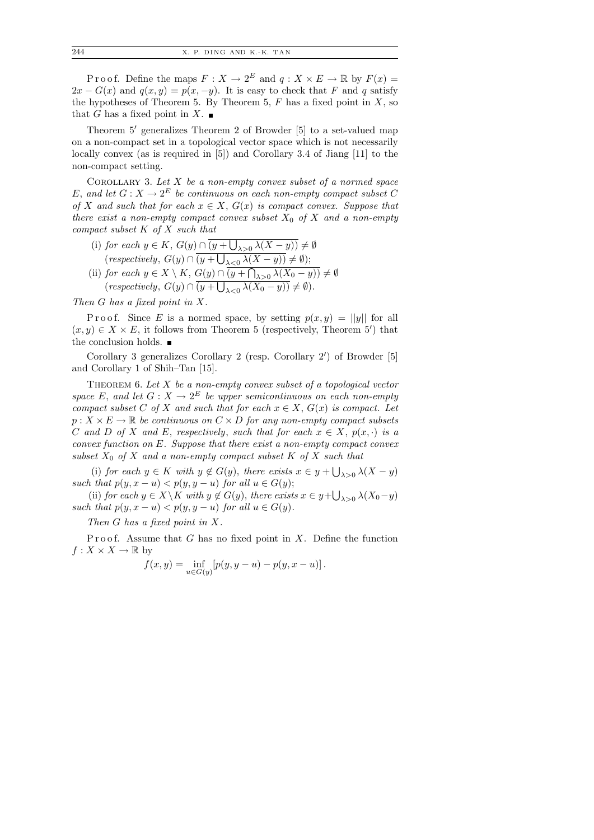P r o o f. Define the maps  $F: X \to 2^E$  and  $q: X \times E \to \mathbb{R}$  by  $F(x) =$  $2x - G(x)$  and  $q(x, y) = p(x, -y)$ . It is easy to check that F and q satisfy the hypotheses of Theorem 5. By Theorem 5,  $F$  has a fixed point in  $X$ , so that G has a fixed point in X.  $\blacksquare$ 

Theorem  $5'$  generalizes Theorem 2 of Browder  $[5]$  to a set-valued map on a non-compact set in a topological vector space which is not necessarily locally convex (as is required in [5]) and Corollary 3.4 of Jiang [11] to the non-compact setting.

COROLLARY 3. Let  $X$  be a non-empty convex subset of a normed space E, and let  $G: X \to 2^E$  be continuous on each non-empty compact subset C of X and such that for each  $x \in X$ ,  $G(x)$  is compact convex. Suppose that there exist a non-empty compact convex subset  $X_0$  of X and a non-empty compact subset  $K$  of  $X$  such that

- (i) for each  $y \in K$ ,  $G(y) \cap (y + \bigcup_{\lambda > 0} \lambda(X y)) \neq \emptyset$  $(respectively, G(y) \cap (y + \bigcup_{\lambda < 0} \lambda(X - y)) \neq \emptyset);$ (ii) for each  $y \in X \setminus K$ ,  $G(y) \cap (y + \bigcap_{\lambda > 0} \lambda(X_0 - y)) \neq \emptyset$
- $(respectively, G(y) \cap (y + \bigcup_{\lambda < 0} \lambda(X_0 y)) \neq \emptyset).$

Then G has a fixed point in X.

P r o o f. Since E is a normed space, by setting  $p(x, y) = ||y||$  for all  $(x, y) \in X \times E$ , it follows from Theorem 5 (respectively, Theorem 5') that the conclusion holds.  $\blacksquare$ 

Corollary 3 generalizes Corollary 2 (resp. Corollary 2') of Browder [5] and Corollary 1 of Shih–Tan [15].

THEOREM 6. Let  $X$  be a non-empty convex subset of a topological vector space E, and let  $G: X \to 2^E$  be upper semicontinuous on each non-empty compact subset C of X and such that for each  $x \in X$ ,  $G(x)$  is compact. Let  $p: X \times E \to \mathbb{R}$  be continuous on  $C \times D$  for any non-empty compact subsets C and D of X and E, respectively, such that for each  $x \in X$ ,  $p(x, \cdot)$  is a convex function on E. Suppose that there exist a non-empty compact convex subset  $X_0$  of X and a non-empty compact subset K of X such that

(i) for each  $y \in K$  with  $y \notin G(y)$ , there exists  $x \in y + \bigcup_{\lambda > 0} \lambda(X - y)$ such that  $p(y, x - u) < p(y, y - u)$  for all  $u \in G(y)$ ;

(ii) for each  $y \in X \backslash K$  with  $y \notin G(y)$ , there exists  $x \in y + \bigcup_{\lambda > 0} \lambda(X_0 - y)$ such that  $p(y, x - u) < p(y, y - u)$  for all  $u \in G(y)$ .

Then G has a fixed point in X.

Proof. Assume that  $G$  has no fixed point in  $X$ . Define the function  $f: X \times X \to \mathbb{R}$  by

$$
f(x,y) = \inf_{u \in G(y)} [p(y, y - u) - p(y, x - u)].
$$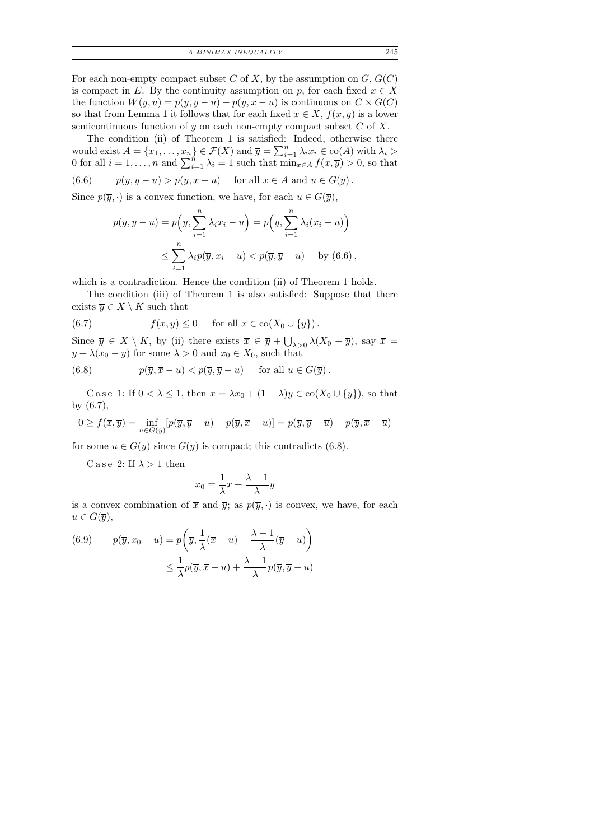For each non-empty compact subset C of X, by the assumption on  $G, G(C)$ is compact in E. By the continuity assumption on p, for each fixed  $x \in X$ the function  $W(y, u) = p(y, y - u) - p(y, x - u)$  is continuous on  $C \times G(C)$ so that from Lemma 1 it follows that for each fixed  $x \in X$ ,  $f(x, y)$  is a lower semicontinuous function of  $y$  on each non-empty compact subset  $C$  of  $X$ .

The condition (ii) of Theorem 1 is satisfied: Indeed, otherwise there would exist  $A = \{x_1, \ldots, x_n\} \in \mathcal{F}(X)$  and  $\overline{y} = \sum_{i=1}^n \lambda_i x_i \in \text{co}(A)$  with  $\lambda_i >$ 0 for all  $i = 1, ..., n$  and  $\sum_{i=1}^{n} \lambda_i = 1$  such that  $\min_{x \in A} f(x, \overline{y}) > 0$ , so that (6.6)  $p(\overline{y}, \overline{y} - u) > p(\overline{y}, x - u)$  for all  $x \in A$  and  $u \in G(\overline{y})$ .

Since  $p(\overline{y},.)$  is a convex function, we have, for each  $u \in G(\overline{y})$ ,

$$
p(\overline{y}, \overline{y} - u) = p\left(\overline{y}, \sum_{i=1}^{n} \lambda_i x_i - u\right) = p\left(\overline{y}, \sum_{i=1}^{n} \lambda_i (x_i - u)\right)
$$
  

$$
\leq \sum_{i=1}^{n} \lambda_i p(\overline{y}, x_i - u) < p(\overline{y}, \overline{y} - u) \quad \text{by (6.6)},
$$

which is a contradiction. Hence the condition (ii) of Theorem 1 holds.

The condition (iii) of Theorem 1 is also satisfied: Suppose that there exists  $\overline{y} \in X \setminus K$  such that

(6.7) 
$$
f(x,\overline{y}) \leq 0 \quad \text{for all } x \in \text{co}(X_0 \cup {\overline{y}}).
$$

Since  $\overline{y} \in X \setminus K$ , by (ii) there exists  $\overline{x} \in \overline{y} + \bigcup_{\lambda > 0} \lambda(X_0 - \overline{y})$ , say  $\overline{x} =$  $\overline{y} + \lambda(x_0 - \overline{y})$  for some  $\lambda > 0$  and  $x_0 \in X_0$ , such that

(6.8) 
$$
p(\overline{y}, \overline{x} - u) < p(\overline{y}, \overline{y} - u) \quad \text{for all } u \in G(\overline{y}).
$$

C a s e 1: If  $0 < \lambda \leq 1$ , then  $\overline{x} = \lambda x_0 + (1 - \lambda)\overline{y} \in \text{co}(X_0 \cup {\overline{y}})$ , so that by (6.7),

$$
0 \ge f(\overline{x}, \overline{y}) = \inf_{u \in G(\overline{y})} [p(\overline{y}, \overline{y} - u) - p(\overline{y}, \overline{x} - u)] = p(\overline{y}, \overline{y} - \overline{u}) - p(\overline{y}, \overline{x} - \overline{u})
$$

for some  $\overline{u} \in G(\overline{y})$  since  $G(\overline{y})$  is compact; this contradicts (6.8).

C a se 2: If  $\lambda > 1$  then

$$
x_0 = \frac{1}{\lambda}\overline{x} + \frac{\lambda - 1}{\lambda}\overline{y}
$$

is a convex combination of  $\bar{x}$  and  $\bar{y}$ ; as  $p(\bar{y}, \cdot)$  is convex, we have, for each  $u \in G(\overline{y}),$ 

(6.9) 
$$
p(\overline{y}, x_0 - u) = p\left(\overline{y}, \frac{1}{\lambda}(\overline{x} - u) + \frac{\lambda - 1}{\lambda}(\overline{y} - u)\right) \le \frac{1}{\lambda}p(\overline{y}, \overline{x} - u) + \frac{\lambda - 1}{\lambda}p(\overline{y}, \overline{y} - u)
$$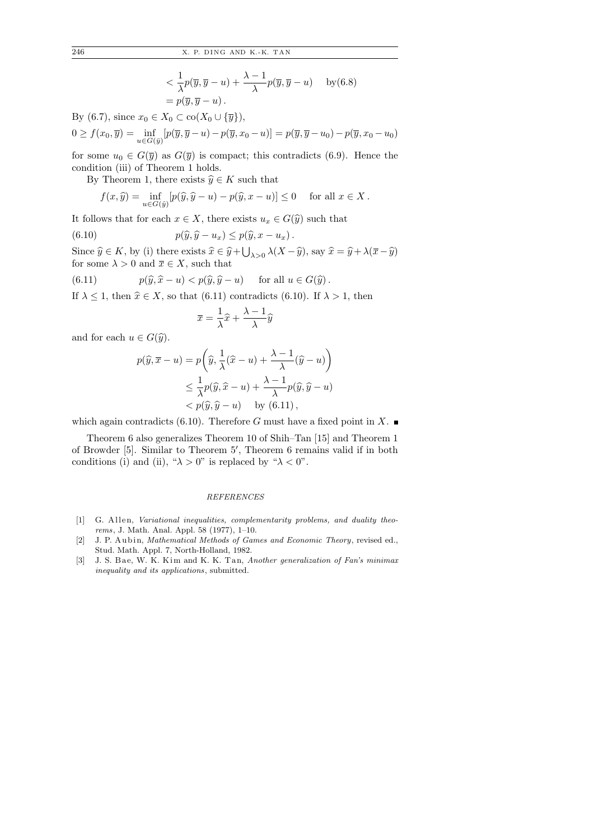$$
\langle \frac{1}{\lambda} p(\overline{y}, \overline{y} - u) + \frac{\lambda - 1}{\lambda} p(\overline{y}, \overline{y} - u) \quad \text{by (6.8)}
$$
  
=  $p(\overline{y}, \overline{y} - u)$ .

By (6.7), since  $x_0 \in X_0 \subset \text{co}(X_0 \cup {\overline{y}}),$ 

$$
0 \ge f(x_0, \overline{y}) = \inf_{u \in G(\overline{y})} [p(\overline{y}, \overline{y} - u) - p(\overline{y}, x_0 - u)] = p(\overline{y}, \overline{y} - u_0) - p(\overline{y}, x_0 - u_0)
$$

for some  $u_0 \in G(\overline{y})$  as  $G(\overline{y})$  is compact; this contradicts (6.9). Hence the condition (iii) of Theorem 1 holds.

By Theorem 1, there exists  $\widehat{y} \in K$  such that

$$
f(x,\hat{y}) = \inf_{u \in G(\hat{y})} [p(\hat{y}, \hat{y} - u) - p(\hat{y}, x - u)] \le 0 \quad \text{ for all } x \in X.
$$

It follows that for each  $x \in X$ , there exists  $u_x \in G(\hat{y})$  such that

(6.10) 
$$
p(\widehat{y}, \widehat{y} - u_x) \leq p(\widehat{y}, x - u_x).
$$

Since  $\hat{y} \in K$ , by (i) there exists  $\hat{x} \in \hat{y} + \bigcup_{\lambda > 0} \lambda(X - \hat{y})$ , say  $\hat{x} = \hat{y} + \lambda(\bar{x} - \hat{y})$ <br>for some  $\lambda > 0$  and  $\bar{x} \in X$ , such that for some  $\lambda > 0$  and  $\overline{x} \in X$ , such that

(6.11) 
$$
p(\widehat{y}, \widehat{x} - u) < p(\widehat{y}, \widehat{y} - u) \quad \text{for all } u \in G(\widehat{y}).
$$

If  $\lambda \leq 1$ , then  $\hat{x} \in X$ , so that (6.11) contradicts (6.10). If  $\lambda > 1$ , then

$$
\overline{x} = \frac{1}{\lambda}\widehat{x} + \frac{\lambda - 1}{\lambda}\widehat{y}
$$

and for each  $u \in G(\widehat{y})$ .

$$
p(\widehat{y}, \overline{x} - u) = p\left(\widehat{y}, \frac{1}{\lambda}(\widehat{x} - u) + \frac{\lambda - 1}{\lambda}(\widehat{y} - u)\right)
$$
  

$$
\leq \frac{1}{\lambda}p(\widehat{y}, \widehat{x} - u) + \frac{\lambda - 1}{\lambda}p(\widehat{y}, \widehat{y} - u)
$$
  

$$
< p(\widehat{y}, \widehat{y} - u) \text{ by (6.11)},
$$

which again contradicts  $(6.10)$ . Therefore G must have a fixed point in X.

Theorem 6 also generalizes Theorem 10 of Shih–Tan [15] and Theorem 1 of Browder [5]. Similar to Theorem 5', Theorem 6 remains valid if in both conditions (i) and (ii), " $\lambda > 0$ " is replaced by " $\lambda < 0$ ".

## REFERENCES

- $[1]$  G. Allen, Variational inequalities, complementarity problems, and duality theorems, J. Math. Anal. Appl. 58 (1977), 1–10.
- [2] J. P. Aubin, Mathematical Methods of Games and Economic Theory, revised ed., Stud. Math. Appl. 7, North-Holland, 1982.
- [3] J. S. Bae, W. K. Kim and K. K. Tan, Another generalization of Fan's minimax inequality and its applications, submitted.